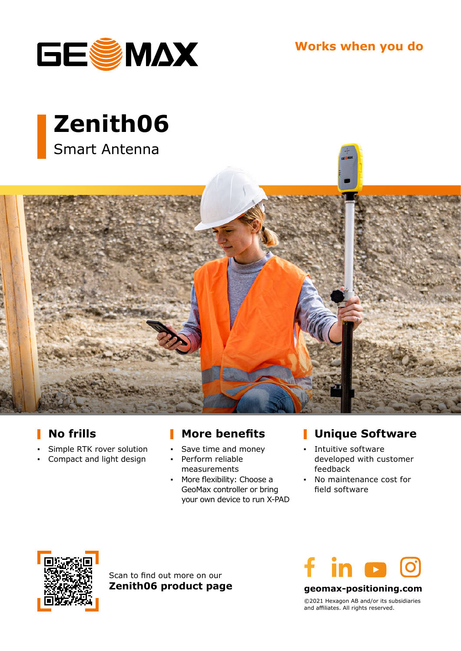

**Works when you do**





## **No frills**

- **▪** Simple RTK rover solution
- **▪** Compact and light design

# **More benefits**

- Save time and money
- **▪** Perform reliable measurements
- **▪** More flexibility: Choose a GeoMax controller or bring your own device to run X-PAD

## **Unique Software**

- **▪** Intuitive software developed with customer feedback
- **▪** No maintenance cost for field software



Scan to find out more on our **Zenith06 product page**



**geomax-positioning.com**

©2021 Hexagon AB and/or its subsidiaries and affiliates. All rights reserved.